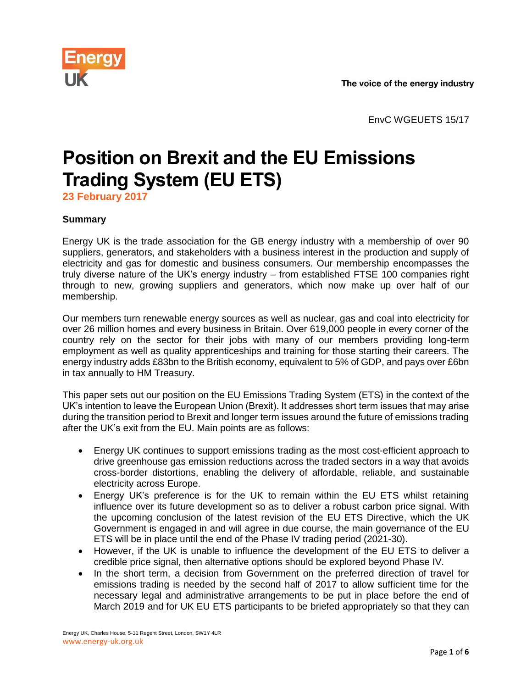

EnvC WGEUETS 15/17

# **Position on Brexit and the EU Emissions Trading System (EU ETS)**

**23 February 2017**

## **Summary**

Energy UK is the trade association for the GB energy industry with a membership of over 90 suppliers, generators, and stakeholders with a business interest in the production and supply of electricity and gas for domestic and business consumers. Our membership encompasses the truly diverse nature of the UK's energy industry – from established FTSE 100 companies right through to new, growing suppliers and generators, which now make up over half of our membership.

Our members turn renewable energy sources as well as nuclear, gas and coal into electricity for over 26 million homes and every business in Britain. Over 619,000 people in every corner of the country rely on the sector for their jobs with many of our members providing long-term employment as well as quality apprenticeships and training for those starting their careers. The energy industry adds £83bn to the British economy, equivalent to 5% of GDP, and pays over £6bn in tax annually to HM Treasury.

This paper sets out our position on the EU Emissions Trading System (ETS) in the context of the UK's intention to leave the European Union (Brexit). It addresses short term issues that may arise during the transition period to Brexit and longer term issues around the future of emissions trading after the UK's exit from the EU. Main points are as follows:

- Energy UK continues to support emissions trading as the most cost-efficient approach to drive greenhouse gas emission reductions across the traded sectors in a way that avoids cross-border distortions, enabling the delivery of affordable, reliable, and sustainable electricity across Europe.
- Energy UK's preference is for the UK to remain within the EU ETS whilst retaining influence over its future development so as to deliver a robust carbon price signal. With the upcoming conclusion of the latest revision of the EU ETS Directive, which the UK Government is engaged in and will agree in due course, the main governance of the EU ETS will be in place until the end of the Phase IV trading period (2021-30).
- However, if the UK is unable to influence the development of the EU ETS to deliver a credible price signal, then alternative options should be explored beyond Phase IV.
- In the short term, a decision from Government on the preferred direction of travel for emissions trading is needed by the second half of 2017 to allow sufficient time for the necessary legal and administrative arrangements to be put in place before the end of March 2019 and for UK EU ETS participants to be briefed appropriately so that they can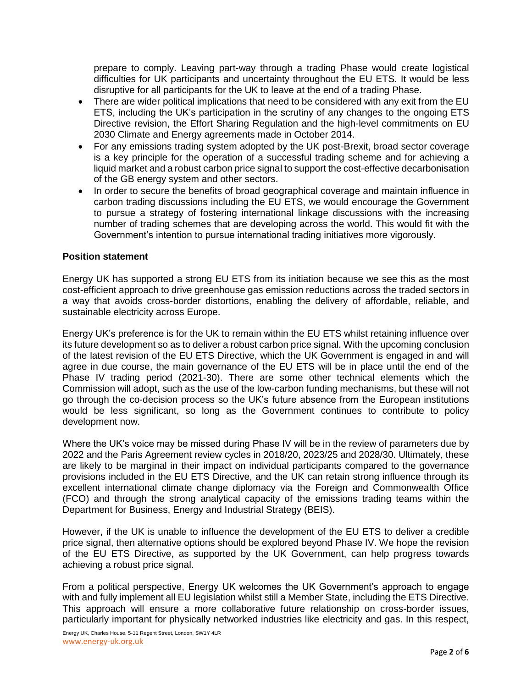prepare to comply. Leaving part-way through a trading Phase would create logistical difficulties for UK participants and uncertainty throughout the EU ETS. It would be less disruptive for all participants for the UK to leave at the end of a trading Phase.

- There are wider political implications that need to be considered with any exit from the EU ETS, including the UK's participation in the scrutiny of any changes to the ongoing ETS Directive revision, the Effort Sharing Regulation and the high-level commitments on EU 2030 Climate and Energy agreements made in October 2014.
- For any emissions trading system adopted by the UK post-Brexit, broad sector coverage is a key principle for the operation of a successful trading scheme and for achieving a liquid market and a robust carbon price signal to support the cost-effective decarbonisation of the GB energy system and other sectors.
- In order to secure the benefits of broad geographical coverage and maintain influence in carbon trading discussions including the EU ETS, we would encourage the Government to pursue a strategy of fostering international linkage discussions with the increasing number of trading schemes that are developing across the world. This would fit with the Government's intention to pursue international trading initiatives more vigorously.

### **Position statement**

Energy UK has supported a strong EU ETS from its initiation because we see this as the most cost-efficient approach to drive greenhouse gas emission reductions across the traded sectors in a way that avoids cross-border distortions, enabling the delivery of affordable, reliable, and sustainable electricity across Europe.

Energy UK's preference is for the UK to remain within the EU ETS whilst retaining influence over its future development so as to deliver a robust carbon price signal. With the upcoming conclusion of the latest revision of the EU ETS Directive, which the UK Government is engaged in and will agree in due course, the main governance of the EU ETS will be in place until the end of the Phase IV trading period (2021-30). There are some other technical elements which the Commission will adopt, such as the use of the low-carbon funding mechanisms, but these will not go through the co-decision process so the UK's future absence from the European institutions would be less significant, so long as the Government continues to contribute to policy development now.

Where the UK's voice may be missed during Phase IV will be in the review of parameters due by 2022 and the Paris Agreement review cycles in 2018/20, 2023/25 and 2028/30. Ultimately, these are likely to be marginal in their impact on individual participants compared to the governance provisions included in the EU ETS Directive, and the UK can retain strong influence through its excellent international climate change diplomacy via the Foreign and Commonwealth Office (FCO) and through the strong analytical capacity of the emissions trading teams within the Department for Business, Energy and Industrial Strategy (BEIS).

However, if the UK is unable to influence the development of the EU ETS to deliver a credible price signal, then alternative options should be explored beyond Phase IV. We hope the revision of the EU ETS Directive, as supported by the UK Government, can help progress towards achieving a robust price signal.

From a political perspective, Energy UK welcomes the UK Government's approach to engage with and fully implement all EU legislation whilst still a Member State, including the ETS Directive. This approach will ensure a more collaborative future relationship on cross-border issues, particularly important for physically networked industries like electricity and gas. In this respect,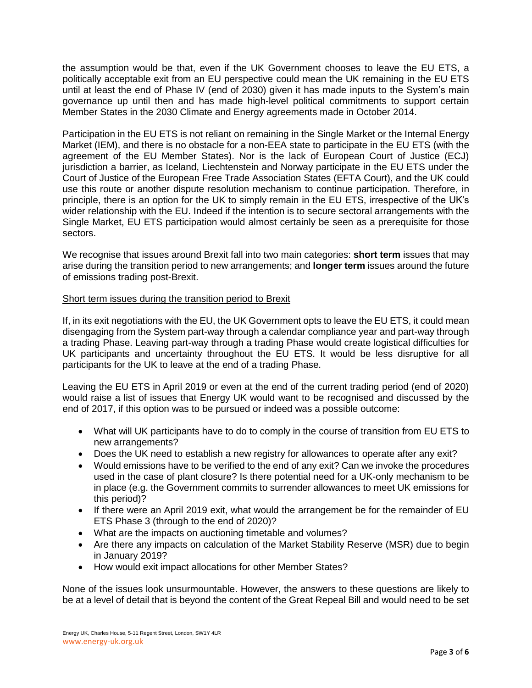the assumption would be that, even if the UK Government chooses to leave the EU ETS, a politically acceptable exit from an EU perspective could mean the UK remaining in the EU ETS until at least the end of Phase IV (end of 2030) given it has made inputs to the System's main governance up until then and has made high-level political commitments to support certain Member States in the 2030 Climate and Energy agreements made in October 2014.

Participation in the EU ETS is not reliant on remaining in the Single Market or the Internal Energy Market (IEM), and there is no obstacle for a non-EEA state to participate in the EU ETS (with the agreement of the EU Member States). Nor is the lack of European Court of Justice (ECJ) jurisdiction a barrier, as Iceland, Liechtenstein and Norway participate in the EU ETS under the Court of Justice of the European Free Trade Association States (EFTA Court), and the UK could use this route or another dispute resolution mechanism to continue participation. Therefore, in principle, there is an option for the UK to simply remain in the EU ETS, irrespective of the UK's wider relationship with the EU. Indeed if the intention is to secure sectoral arrangements with the Single Market, EU ETS participation would almost certainly be seen as a prerequisite for those sectors.

We recognise that issues around Brexit fall into two main categories: **short term** issues that may arise during the transition period to new arrangements; and **longer term** issues around the future of emissions trading post-Brexit.

#### Short term issues during the transition period to Brexit

If, in its exit negotiations with the EU, the UK Government opts to leave the EU ETS, it could mean disengaging from the System part-way through a calendar compliance year and part-way through a trading Phase. Leaving part-way through a trading Phase would create logistical difficulties for UK participants and uncertainty throughout the EU ETS. It would be less disruptive for all participants for the UK to leave at the end of a trading Phase.

Leaving the EU ETS in April 2019 or even at the end of the current trading period (end of 2020) would raise a list of issues that Energy UK would want to be recognised and discussed by the end of 2017, if this option was to be pursued or indeed was a possible outcome:

- What will UK participants have to do to comply in the course of transition from EU ETS to new arrangements?
- Does the UK need to establish a new registry for allowances to operate after any exit?
- Would emissions have to be verified to the end of any exit? Can we invoke the procedures used in the case of plant closure? Is there potential need for a UK-only mechanism to be in place (e.g. the Government commits to surrender allowances to meet UK emissions for this period)?
- If there were an April 2019 exit, what would the arrangement be for the remainder of EU ETS Phase 3 (through to the end of 2020)?
- What are the impacts on auctioning timetable and volumes?
- Are there any impacts on calculation of the Market Stability Reserve (MSR) due to begin in January 2019?
- How would exit impact allocations for other Member States?

None of the issues look unsurmountable. However, the answers to these questions are likely to be at a level of detail that is beyond the content of the Great Repeal Bill and would need to be set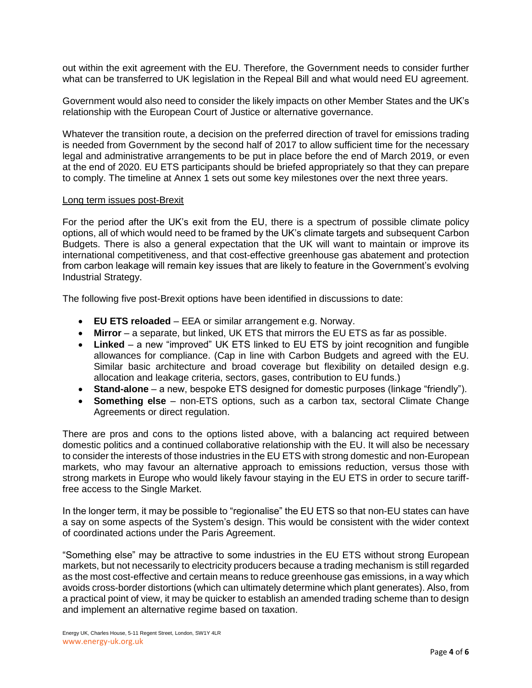out within the exit agreement with the EU. Therefore, the Government needs to consider further what can be transferred to UK legislation in the Repeal Bill and what would need EU agreement.

Government would also need to consider the likely impacts on other Member States and the UK's relationship with the European Court of Justice or alternative governance.

Whatever the transition route, a decision on the preferred direction of travel for emissions trading is needed from Government by the second half of 2017 to allow sufficient time for the necessary legal and administrative arrangements to be put in place before the end of March 2019, or even at the end of 2020. EU ETS participants should be briefed appropriately so that they can prepare to comply. The timeline at Annex 1 sets out some key milestones over the next three years.

#### Long term issues post-Brexit

For the period after the UK's exit from the EU, there is a spectrum of possible climate policy options, all of which would need to be framed by the UK's climate targets and subsequent Carbon Budgets. There is also a general expectation that the UK will want to maintain or improve its international competitiveness, and that cost-effective greenhouse gas abatement and protection from carbon leakage will remain key issues that are likely to feature in the Government's evolving Industrial Strategy.

The following five post-Brexit options have been identified in discussions to date:

- **EU ETS reloaded** EEA or similar arrangement e.g. Norway.
- **Mirror** a separate, but linked, UK ETS that mirrors the EU ETS as far as possible.
- **Linked** a new "improved" UK ETS linked to EU ETS by joint recognition and fungible allowances for compliance. (Cap in line with Carbon Budgets and agreed with the EU. Similar basic architecture and broad coverage but flexibility on detailed design e.g. allocation and leakage criteria, sectors, gases, contribution to EU funds.)
- **Stand-alone** a new, bespoke ETS designed for domestic purposes (linkage "friendly").
- **Something else** non-ETS options, such as a carbon tax, sectoral Climate Change Agreements or direct regulation.

There are pros and cons to the options listed above, with a balancing act required between domestic politics and a continued collaborative relationship with the EU. It will also be necessary to consider the interests of those industries in the EU ETS with strong domestic and non-European markets, who may favour an alternative approach to emissions reduction, versus those with strong markets in Europe who would likely favour staying in the EU ETS in order to secure tarifffree access to the Single Market.

In the longer term, it may be possible to "regionalise" the EU ETS so that non-EU states can have a say on some aspects of the System's design. This would be consistent with the wider context of coordinated actions under the Paris Agreement.

"Something else" may be attractive to some industries in the EU ETS without strong European markets, but not necessarily to electricity producers because a trading mechanism is still regarded as the most cost-effective and certain means to reduce greenhouse gas emissions, in a way which avoids cross-border distortions (which can ultimately determine which plant generates). Also, from a practical point of view, it may be quicker to establish an amended trading scheme than to design and implement an alternative regime based on taxation.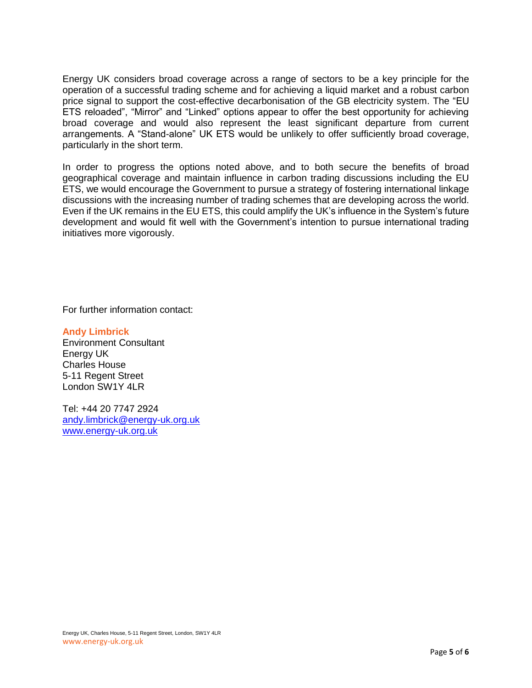Energy UK considers broad coverage across a range of sectors to be a key principle for the operation of a successful trading scheme and for achieving a liquid market and a robust carbon price signal to support the cost-effective decarbonisation of the GB electricity system. The "EU ETS reloaded", "Mirror" and "Linked" options appear to offer the best opportunity for achieving broad coverage and would also represent the least significant departure from current arrangements. A "Stand-alone" UK ETS would be unlikely to offer sufficiently broad coverage, particularly in the short term.

In order to progress the options noted above, and to both secure the benefits of broad geographical coverage and maintain influence in carbon trading discussions including the EU ETS, we would encourage the Government to pursue a strategy of fostering international linkage discussions with the increasing number of trading schemes that are developing across the world. Even if the UK remains in the EU ETS, this could amplify the UK's influence in the System's future development and would fit well with the Government's intention to pursue international trading initiatives more vigorously.

For further information contact:

#### **Andy Limbrick**

Environment Consultant Energy UK Charles House 5-11 Regent Street London SW1Y 4LR

Tel: +44 20 7747 2924 [andy.limbrick@energy-uk.org.uk](mailto:andy.limbrick@energy-uk.org.uk) [www.energy-uk.org.uk](http://www.energy-uk.org.uk/)